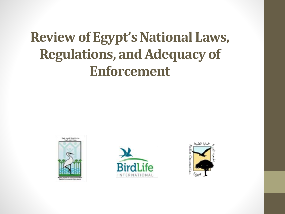#### **Review of Egypt's National Laws, Regulations, and Adequacy of Enforcement**





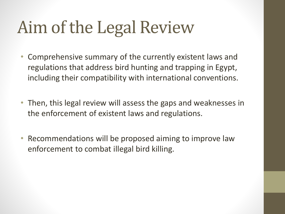#### Aim of the Legal Review

- Comprehensive summary of the currently existent laws and regulations that address bird hunting and trapping in Egypt, including their compatibility with international conventions.
- Then, this legal review will assess the gaps and weaknesses in the enforcement of existent laws and regulations.
- Recommendations will be proposed aiming to improve law enforcement to combat illegal bird killing.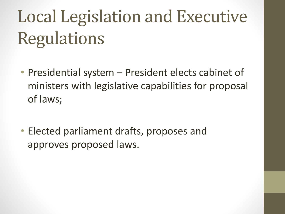# Local Legislation and Executive Regulations

- Presidential system President elects cabinet of ministers with legislative capabilities for proposal of laws;
- Elected parliament drafts, proposes and approves proposed laws.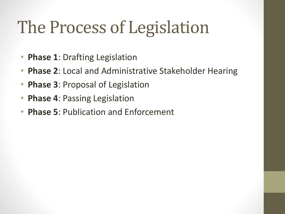#### The Process of Legislation

- **Phase 1**: Drafting Legislation
- **Phase 2**: Local and Administrative Stakeholder Hearing
- **Phase 3**: Proposal of Legislation
- **Phase 4**: Passing Legislation
- **Phase 5**: Publication and Enforcement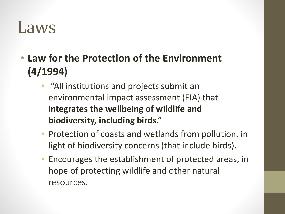#### Laws

• **Law for the Protection of the Environment (4/1994)**

- "All institutions and projects submit an environmental impact assessment (EIA) that **integrates the wellbeing of wildlife and biodiversity, including birds**."
- Protection of coasts and wetlands from pollution, in light of biodiversity concerns (that include birds).
- Encourages the establishment of protected areas, in hope of protecting wildlife and other natural resources.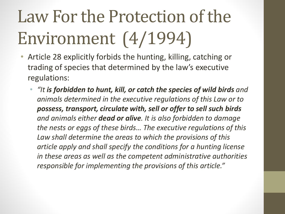# Law For the Protection of the Environment (4/1994)

- Article 28 explicitly forbids the hunting, killing, catching or trading of species that determined by the law's executive regulations:
	- *"It is forbidden to hunt, kill, or catch the species of wild birds and animals determined in the executive regulations of this Law or to possess, transport, circulate with, sell or offer to sell such birds and animals either dead or alive. It is also forbidden to damage the nests or eggs of these birds… The executive regulations of this Law shall determine the areas to which the provisions of this article apply and shall specify the conditions for a hunting license in these areas as well as the competent administrative authorities responsible for implementing the provisions of this article."*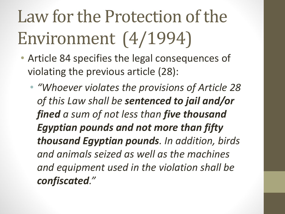# Law for the Protection of the Environment (4/1994)

- Article 84 specifies the legal consequences of violating the previous article (28):
	- *"Whoever violates the provisions of Article 28 of this Law shall be sentenced to jail and/or fined a sum of not less than five thousand Egyptian pounds and not more than fifty thousand Egyptian pounds. In addition, birds and animals seized as well as the machines and equipment used in the violation shall be confiscated."*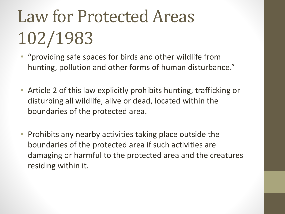# Law for Protected Areas 102/1983

- "providing safe spaces for birds and other wildlife from hunting, pollution and other forms of human disturbance."
- Article 2 of this law explicitly prohibits hunting, trafficking or disturbing all wildlife, alive or dead, located within the boundaries of the protected area.
- Prohibits any nearby activities taking place outside the boundaries of the protected area if such activities are damaging or harmful to the protected area and the creatures residing within it.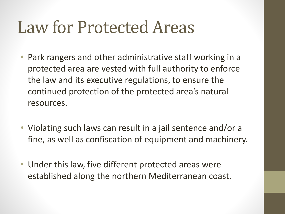#### Law for Protected Areas

- Park rangers and other administrative staff working in a protected area are vested with full authority to enforce the law and its executive regulations, to ensure the continued protection of the protected area's natural resources.
- Violating such laws can result in a jail sentence and/or a fine, as well as confiscation of equipment and machinery.
- Under this law, five different protected areas were established along the northern Mediterranean coast.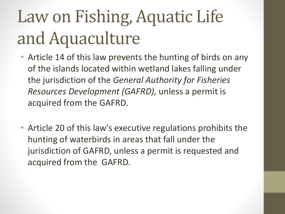#### Law on Fishing, Aquatic Life and Aquaculture

- Article 14 of this law prevents the hunting of birds on any of the islands located within wetland lakes falling under the jurisdiction of the *General Authority for Fisheries Resources Development (GAFRD),* unless a permit is acquired from the GAFRD.
- Article 20 of this law's executive regulations prohibits the hunting of waterbirds in areas that fall under the jurisdiction of GAFRD, unless a permit is requested and acquired from the GAFRD.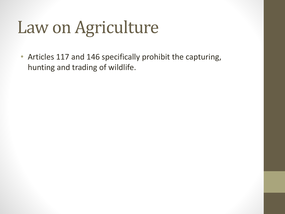#### Law on Agriculture

• Articles 117 and 146 specifically prohibit the capturing, hunting and trading of wildlife.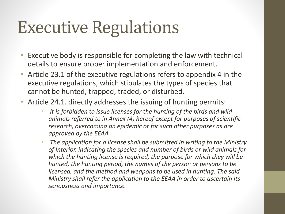#### Executive Regulations

- Executive body is responsible for completing the law with technical details to ensure proper implementation and enforcement.
- Article 23.1 of the executive regulations refers to appendix 4 in the executive regulations, which stipulates the types of species that cannot be hunted, trapped, traded, or disturbed.
- Article 24.1. directly addresses the issuing of hunting permits:
	- *It is forbidden to issue licenses for the hunting of the birds and wild animals referred to in Annex (4) hereof except for purposes of scientific research, overcoming an epidemic or for such other purposes as are approved by the EEAA.*
	- *The application for a license shall be submitted in writing to the Ministry of Interior, indicating the species and number of birds or wild animals for which the hunting license is required, the purpose for which they will be hunted, the hunting period, the names of the person or persons to be licensed, and the method and weapons to be used in hunting. The said Ministry shall refer the application to the EEAA in order to ascertain its seriousness and importance.*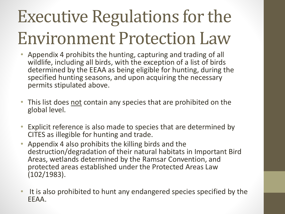#### Executive Regulations for the Environment Protection Law

- Appendix 4 prohibits the hunting, capturing and trading of all wildlife, including all birds, with the exception of a list of birds determined by the EEAA as being eligible for hunting, during the specified hunting seasons, and upon acquiring the necessary permits stipulated above.
- This list does not contain any species that are prohibited on the global level.
- Explicit reference is also made to species that are determined by CITES as illegible for hunting and trade.
- Appendix 4 also prohibits the killing birds and the destruction/degradation of their natural habitats in Important Bird Areas, wetlands determined by the Ramsar Convention, and protected areas established under the Protected Areas Law (102/1983).
- It is also prohibited to hunt any endangered species specified by the EEAA.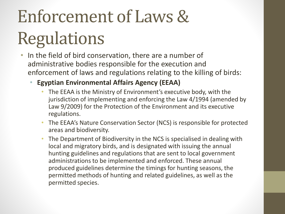- In the field of bird conservation, there are a number of administrative bodies responsible for the execution and enforcement of laws and regulations relating to the killing of birds:
	- **Egyptian Environmental Affairs Agency (EEAA)**
		- The EEAA is the Ministry of Environment's executive body, with the jurisdiction of implementing and enforcing the Law 4/1994 (amended by Law 9/2009) for the Protection of the Environment and its executive regulations.
		- The EEAA's Nature Conservation Sector (NCS) is responsible for protected areas and biodiversity.
		- The Department of Biodiversity in the NCS is specialised in dealing with local and migratory birds, and is designated with issuing the annual hunting guidelines and regulations that are sent to local government administrations to be implemented and enforced. These annual produced guidelines determine the timings for hunting seasons, the permitted methods of hunting and related guidelines, as well as the permitted species.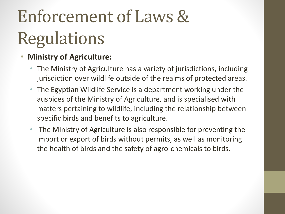#### • **Ministry of Agriculture:**

- The Ministry of Agriculture has a variety of jurisdictions, including jurisdiction over wildlife outside of the realms of protected areas.
- The Egyptian Wildlife Service is a department working under the auspices of the Ministry of Agriculture, and is specialised with matters pertaining to wildlife, including the relationship between specific birds and benefits to agriculture.
- The Ministry of Agriculture is also responsible for preventing the import or export of birds without permits, as well as monitoring the health of birds and the safety of agro-chemicals to birds.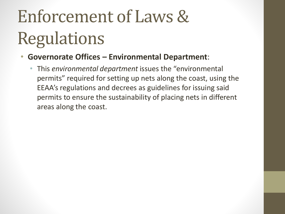- **Governorate Offices – Environmental Department**:
	- This *environmental department* issues the "environmental permits" required for setting up nets along the coast, using the EEAA's regulations and decrees as guidelines for issuing said permits to ensure the sustainability of placing nets in different areas along the coast.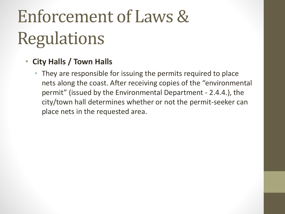#### • **City Halls / Town Halls**

• They are responsible for issuing the permits required to place nets along the coast. After receiving copies of the "environmental permit" (issued by the Environmental Department - 2.4.4.), the city/town hall determines whether or not the permit-seeker can place nets in the requested area.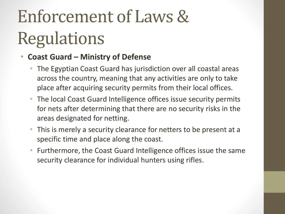#### • **Coast Guard – Ministry of Defense**

- The Egyptian Coast Guard has jurisdiction over all coastal areas across the country, meaning that any activities are only to take place after acquiring security permits from their local offices.
- The local Coast Guard Intelligence offices issue security permits for nets after determining that there are no security risks in the areas designated for netting.
- This is merely a security clearance for netters to be present at a specific time and place along the coast.
- Furthermore, the Coast Guard Intelligence offices issue the same security clearance for individual hunters using rifles.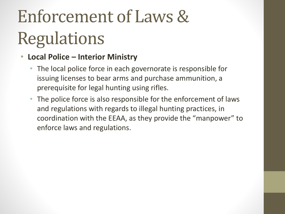#### • **Local Police – Interior Ministry**

- The local police force in each governorate is responsible for issuing licenses to bear arms and purchase ammunition, a prerequisite for legal hunting using rifles.
- The police force is also responsible for the enforcement of laws and regulations with regards to illegal hunting practices, in coordination with the EEAA, as they provide the "manpower" to enforce laws and regulations.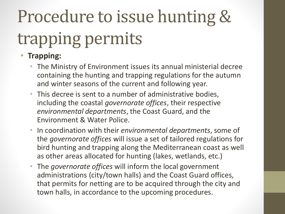# Procedure to issue hunting & trapping permits

#### • **Trapping:**

- The Ministry of Environment issues its annual ministerial decree containing the hunting and trapping regulations for the autumn and winter seasons of the current and following year.
- This decree is sent to a number of administrative bodies, including the coastal *governorate offices*, their respective *environmental departments*, the Coast Guard, and the Environment & Water Police.
- In coordination with their *environmental departments*, some of the *governorate offices* will issue a set of tailored regulations for bird hunting and trapping along the Mediterranean coast as well as other areas allocated for hunting (lakes, wetlands, etc.)
- The *governorate offices* will inform the local government administrations (city/town halls) and the Coast Guard offices, that permits for netting are to be acquired through the city and town halls, in accordance to the upcoming procedures.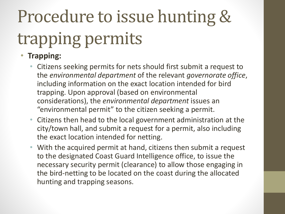# Procedure to issue hunting & trapping permits

#### • **Trapping:**

- Citizens seeking permits for nets should first submit a request to the *environmental department* of the relevant *governorate office*, including information on the exact location intended for bird trapping. Upon approval (based on environmental considerations), the *environmental department* issues an "environmental permit" to the citizen seeking a permit.
- Citizens then head to the local government administration at the city/town hall, and submit a request for a permit, also including the exact location intended for netting.
- With the acquired permit at hand, citizens then submit a request to the designated Coast Guard Intelligence office, to issue the necessary security permit (clearance) to allow those engaging in the bird-netting to be located on the coast during the allocated hunting and trapping seasons.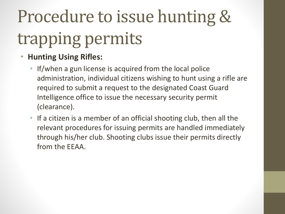# Procedure to issue hunting & trapping permits

- **Hunting Using Rifles:** 
	- If/when a gun license is acquired from the local police administration, individual citizens wishing to hunt using a rifle are required to submit a request to the designated Coast Guard Intelligence office to issue the necessary security permit (clearance).
	- If a citizen is a member of an official shooting club, then all the relevant procedures for issuing permits are handled immediately through his/her club. Shooting clubs issue their permits directly from the EEAA.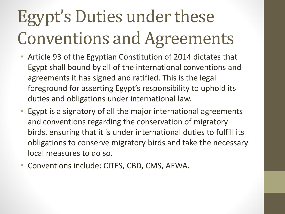### Egypt's Duties under these Conventions and Agreements

- Article 93 of the Egyptian Constitution of 2014 dictates that Egypt shall bound by all of the international conventions and agreements it has signed and ratified. This is the legal foreground for asserting Egypt's responsibility to uphold its duties and obligations under international law.
- Egypt is a signatory of all the major international agreements and conventions regarding the conservation of migratory birds, ensuring that it is under international duties to fulfill its obligations to conserve migratory birds and take the necessary local measures to do so.
- Conventions include: CITES, CBD, CMS, AEWA.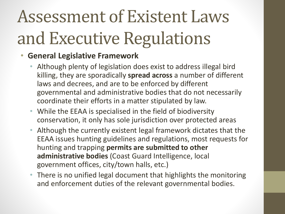### Assessment of Existent Laws and Executive Regulations

#### • **General Legislative Framework**

- Although plenty of legislation does exist to address illegal bird killing, they are sporadically **spread across** a number of different laws and decrees, and are to be enforced by different governmental and administrative bodies that do not necessarily coordinate their efforts in a matter stipulated by law.
- While the EEAA is specialised in the field of biodiversity conservation, it only has sole jurisdiction over protected areas
- Although the currently existent legal framework dictates that the EEAA issues hunting guidelines and regulations, most requests for hunting and trapping **permits are submitted to other administrative bodies** (Coast Guard Intelligence, local government offices, city/town halls, etc.)
- There is no unified legal document that highlights the monitoring and enforcement duties of the relevant governmental bodies.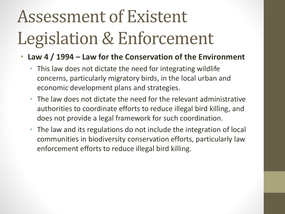### Assessment of Existent Legislation & Enforcement

#### • **Law 4 / 1994 – Law for the Conservation of the Environment**

- This law does not dictate the need for integrating wildlife concerns, particularly migratory birds, in the local urban and economic development plans and strategies.
- The law does not dictate the need for the relevant administrative authorities to coordinate efforts to reduce illegal bird killing, and does not provide a legal framework for such coordination.
- The law and its regulations do not include the integration of local communities in biodiversity conservation efforts, particularly law enforcement efforts to reduce illegal bird killing.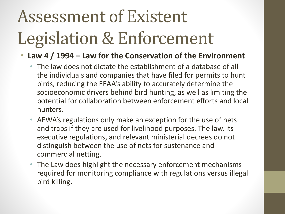### Assessment of Existent Legislation & Enforcement

#### • **Law 4 / 1994 – Law for the Conservation of the Environment**

- The law does not dictate the establishment of a database of all the individuals and companies that have filed for permits to hunt birds, reducing the EEAA's ability to accurately determine the socioeconomic drivers behind bird hunting, as well as limiting the potential for collaboration between enforcement efforts and local hunters.
- AEWA's regulations only make an exception for the use of nets and traps if they are used for livelihood purposes. The law, its executive regulations, and relevant ministerial decrees do not distinguish between the use of nets for sustenance and commercial netting.
- The Law does highlight the necessary enforcement mechanisms required for monitoring compliance with regulations versus illegal bird killing.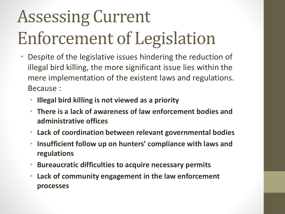# Assessing Current Enforcement of Legislation

- Despite of the legislative issues hindering the reduction of illegal bird killing, the more significant issue lies within the mere implementation of the existent laws and regulations. Because :
	- **Illegal bird killing is not viewed as a priority**
	- **There is a lack of awareness of law enforcement bodies and administrative offices**
	- **Lack of coordination between relevant governmental bodies**
	- **Insufficient follow up on hunters' compliance with laws and regulations**
	- **Bureaucratic difficulties to acquire necessary permits**
	- **Lack of community engagement in the law enforcement processes**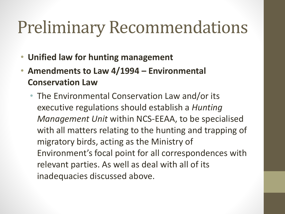#### Preliminary Recommendations

- **Unified law for hunting management**
- **Amendments to Law 4/1994 – Environmental Conservation Law**
	- The Environmental Conservation Law and/or its executive regulations should establish a *Hunting Management Unit* within NCS-EEAA, to be specialised with all matters relating to the hunting and trapping of migratory birds, acting as the Ministry of Environment's focal point for all correspondences with relevant parties. As well as deal with all of its inadequacies discussed above.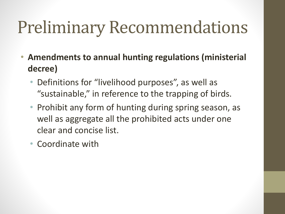#### Preliminary Recommendations

- **Amendments to annual hunting regulations (ministerial decree)**
	- Definitions for "livelihood purposes", as well as "sustainable," in reference to the trapping of birds.
	- Prohibit any form of hunting during spring season, as well as aggregate all the prohibited acts under one clear and concise list.
	- Coordinate with